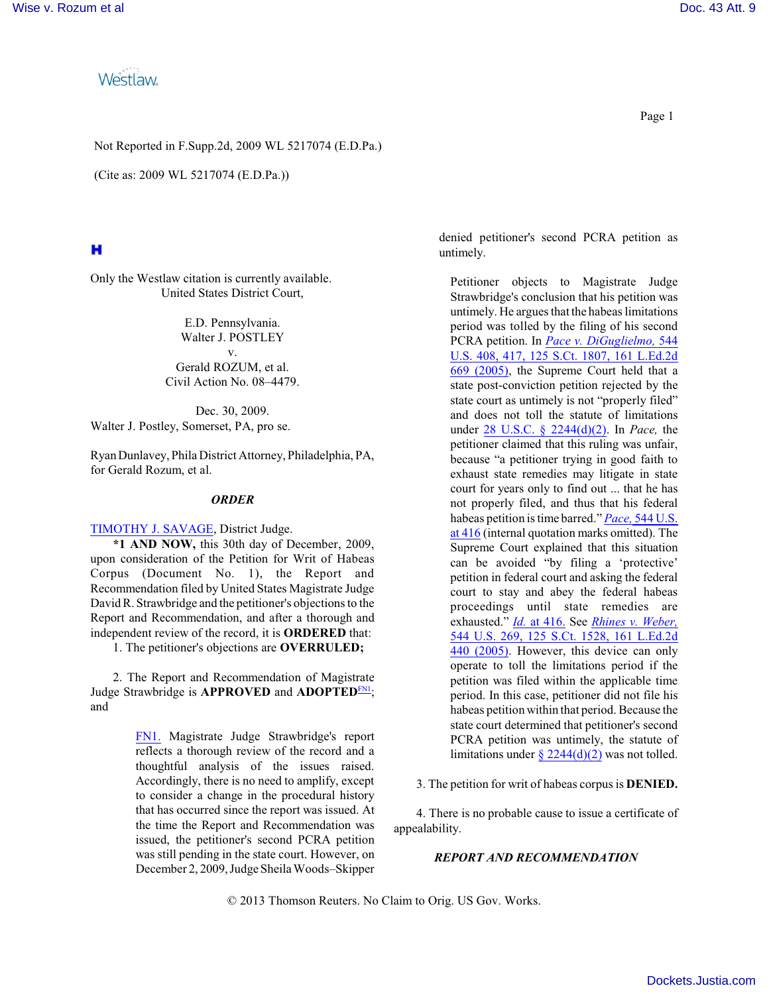**Westlaw** 

Not Reported in F.Supp.2d, 2009 WL 5217074 (E.D.Pa.)

(Cite as: 2009 WL 5217074 (E.D.Pa.))

# н

Only the Westlaw citation is currently available. United States District Court,

> E.D. Pennsylvania. Walter J. POSTLEY v. Gerald ROZUM, et al. Civil Action No. 08–4479.

Dec. 30, 2009. Walter J. Postley, Somerset, PA, pro se.

Ryan Dunlavey, Phila District Attorney, Philadelphia, PA, for Gerald Rozum, et al.

# *ORDER*

[TIMOTHY J. SAVAGE](http://www.westlaw.com/Find/Default.wl?rs=dfa1.0&vr=2.0&DB=PROFILER-WLD&DocName=0293757901&FindType=h), District Judge.

**\*1 AND NOW,** this 30th day of December, 2009, upon consideration of the Petition for Writ of Habeas Corpus (Document No. 1), the Report and Recommendation filed by United States Magistrate Judge David R. Strawbridge and the petitioner's objections to the Report and Recommendation, and after a thorough and independent review of the record, it is **ORDERED** that:

1. The petitioner's objections are **OVERRULED;**

2. The Report and Recommendation of Magistrate Judge Strawbridge is APPROVED and ADOPTED<sup>EN1</sup>; and

> <span id="page-0-0"></span>[FN1.](#page-0-1) Magistrate Judge Strawbridge's report reflects a thorough review of the record and a thoughtful analysis of the issues raised. Accordingly, there is no need to amplify, except to consider a change in the procedural history that has occurred since the report was issued. At the time the Report and Recommendation was issued, the petitioner's second PCRA petition was still pending in the state court. However, on December 2, 2009, Judge Sheila Woods–Skipper

denied petitioner's second PCRA petition as untimely.

Petitioner objects to Magistrate Judge Strawbridge's conclusion that his petition was untimely. He argues that the habeas limitations period was tolled by the filing of his second PCRA petition. In *[Pace v. DiGuglielmo,](http://www.westlaw.com/Find/Default.wl?rs=dfa1.0&vr=2.0&DB=708&FindType=Y&SerialNum=2006522650)* [544](http://www.westlaw.com/Find/Default.wl?rs=dfa1.0&vr=2.0&DB=708&FindType=Y&SerialNum=2006522650) U.S. 408, 417, [125 S.Ct. 1807, 161 L.Ed.2d](http://www.westlaw.com/Find/Default.wl?rs=dfa1.0&vr=2.0&DB=708&FindType=Y&SerialNum=2006522650) [669 \(2005\)](http://www.westlaw.com/Find/Default.wl?rs=dfa1.0&vr=2.0&DB=708&FindType=Y&SerialNum=2006522650), the Supreme Court held that a state post-conviction petition rejected by the state court as untimely is not "properly filed" and does not toll the statute of limitations under 28 U.S.C. § [2244\(d\)\(2\)](http://www.westlaw.com/Find/Default.wl?rs=dfa1.0&vr=2.0&DB=1000546&DocName=28USCAS2244&FindType=L&ReferencePositionType=T&ReferencePosition=SP_4be3000003be5). In *Pace,* the petitioner claimed that this ruling was unfair, because "a petitioner trying in good faith to exhaust state remedies may litigate in state court for years only to find out ... that he has not properly filed, and thus that his federal habeas petition is time barred." *[Pace,](http://www.westlaw.com/Find/Default.wl?rs=dfa1.0&vr=2.0&DB=780&FindType=Y&ReferencePositionType=S&SerialNum=2006522650&ReferencePosition=416)* [544 U.S.](http://www.westlaw.com/Find/Default.wl?rs=dfa1.0&vr=2.0&DB=780&FindType=Y&ReferencePositionType=S&SerialNum=2006522650&ReferencePosition=416) [at 416](http://www.westlaw.com/Find/Default.wl?rs=dfa1.0&vr=2.0&DB=780&FindType=Y&ReferencePositionType=S&SerialNum=2006522650&ReferencePosition=416) (internal quotation marks omitted). The Supreme Court explained that this situation can be avoided "by filing a 'protective' petition in federal court and asking the federal court to stay and abey the federal habeas proceedings until state remedies are exhausted." *[Id.](http://www.westlaw.com/Find/Default.wl?rs=dfa1.0&vr=2.0&FindType=Y&SerialNum=2006522650)* [at 416.](http://www.westlaw.com/Find/Default.wl?rs=dfa1.0&vr=2.0&FindType=Y&SerialNum=2006522650) See *[Rhines v. Weber,](http://www.westlaw.com/Find/Default.wl?rs=dfa1.0&vr=2.0&DB=708&FindType=Y&SerialNum=2006397496)* 544 U.S. 269, 125 [S.Ct. 1528, 161 L.Ed.2d](http://www.westlaw.com/Find/Default.wl?rs=dfa1.0&vr=2.0&DB=708&FindType=Y&SerialNum=2006397496) [440 \(2005\)](http://www.westlaw.com/Find/Default.wl?rs=dfa1.0&vr=2.0&DB=708&FindType=Y&SerialNum=2006397496). However, this device can only operate to toll the limitations period if the petition was filed within the applicable time period. In this case, petitioner did not file his habeas petition within that period. Because the state court determined that petitioner's second PCRA petition was untimely, the statute of limitations under  $\frac{\sqrt{2244(d)(2)}}{20}$  was not tolled.

<span id="page-0-1"></span>3. The petition for writ of habeas corpus is **DENIED.**

4. There is no probable cause to issue a certificate of appealability.

### *REPORT AND RECOMMENDATION*

© 2013 Thomson Reuters. No Claim to Orig. US Gov. Works.

Page 1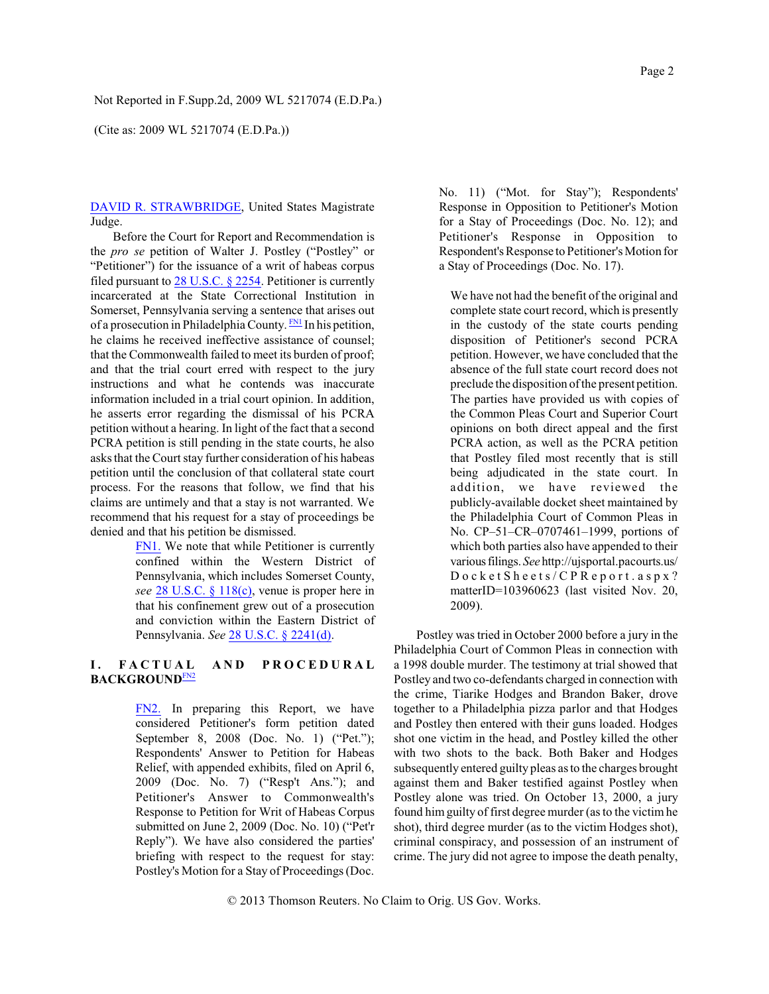(Cite as: 2009 WL 5217074 (E.D.Pa.))

[DAVID R. STRAWBRIDGE](http://www.westlaw.com/Find/Default.wl?rs=dfa1.0&vr=2.0&DB=PROFILER-WLD&DocName=0160295401&FindType=h), United States Magistrate Judge.

Before the Court for Report and Recommendation is the *pro se* petition of Walter J. Postley ("Postley" or "Petitioner") for the issuance of a writ of habeas corpus filed pursuant to 28 [U.S.C. § 2254](http://www.westlaw.com/Find/Default.wl?rs=dfa1.0&vr=2.0&DB=1000546&DocName=28USCAS2254&FindType=L). Petitioner is currently incarcerated at the State Correctional Institution in Somerset, Pennsylvania serving a sentence that arises out of a prosecution in Philadelphia County. **FIM** In his petition, he claims he received ineffective assistance of counsel; that the Commonwealth failed to meet its burden of proof; and that the trial court erred with respect to the jury instructions and what he contends was inaccurate information included in a trial court opinion. In addition, he asserts error regarding the dismissal of his PCRA petition without a hearing. In light of the fact that a second PCRA petition is still pending in the state courts, he also asks that the Court stay further consideration of his habeas petition until the conclusion of that collateral state court process. For the reasons that follow, we find that his claims are untimely and that a stay is not warranted. We recommend that his request for a stay of proceedings be denied and that his petition be dismissed.

> <span id="page-1-0"></span>[FN1.](#page-1-1) We note that while Petitioner is currently confined within the Western District of Pennsylvania, which includes Somerset County, *see* 28 [U.S.C. § 118\(c\)](http://www.westlaw.com/Find/Default.wl?rs=dfa1.0&vr=2.0&DB=1000546&DocName=28USCAS118&FindType=L&ReferencePositionType=T&ReferencePosition=SP_4b24000003ba5), venue is proper here in that his confinement grew out of a prosecution and conviction within the Eastern District of Pennsylvania. *See* [28 U.S.C. § 2241\(d\)](http://www.westlaw.com/Find/Default.wl?rs=dfa1.0&vr=2.0&DB=1000546&DocName=28USCAS2241&FindType=L&ReferencePositionType=T&ReferencePosition=SP_5ba1000067d06).

# **I . F A C T U A L A N D P R O C E D U R A L BACKGROUND**[FN2](#page-1-2)

<span id="page-1-3"></span><span id="page-1-2"></span>[FN2.](#page-1-3) In preparing this Report, we have considered Petitioner's form petition dated September 8, 2008 (Doc. No. 1) ("Pet."); Respondents' Answer to Petition for Habeas Relief, with appended exhibits, filed on April 6, 2009 (Doc. No. 7) ("Resp't Ans."); and Petitioner's Answer to Commonwealth's Response to Petition for Writ of Habeas Corpus submitted on June 2, 2009 (Doc. No. 10) ("Pet'r Reply"). We have also considered the parties' briefing with respect to the request for stay: Postley's Motion for a Stay of Proceedings (Doc.

No. 11) ("Mot. for Stay"); Respondents' Response in Opposition to Petitioner's Motion for a Stay of Proceedings (Doc. No. 12); and Petitioner's Response in Opposition to Respondent's Response to Petitioner's Motion for a Stay of Proceedings (Doc. No. 17).

<span id="page-1-1"></span>We have not had the benefit of the original and complete state court record, which is presently in the custody of the state courts pending disposition of Petitioner's second PCRA petition. However, we have concluded that the absence of the full state court record does not preclude the disposition of the present petition. The parties have provided us with copies of the Common Pleas Court and Superior Court opinions on both direct appeal and the first PCRA action, as well as the PCRA petition that Postley filed most recently that is still being adjudicated in the state court. In addition, we have reviewed the publicly-available docket sheet maintained by the Philadelphia Court of Common Pleas in No. CP–51–CR–0707461–1999, portions of which both parties also have appended to their variousfilings. *See* http://ujsportal.pacourts.us/ D o c k e t S h e e t s / C P R e p o r t . a s p x ? matterID=103960623 (last visited Nov. 20, 2009).

Postley was tried in October 2000 before a jury in the Philadelphia Court of Common Pleas in connection with a 1998 double murder. The testimony at trial showed that Postley and two co-defendants charged in connection with the crime, Tiarike Hodges and Brandon Baker, drove together to a Philadelphia pizza parlor and that Hodges and Postley then entered with their guns loaded. Hodges shot one victim in the head, and Postley killed the other with two shots to the back. Both Baker and Hodges subsequently entered guilty pleas as to the charges brought against them and Baker testified against Postley when Postley alone was tried. On October 13, 2000, a jury found himguilty of first degree murder (as to the victimhe shot), third degree murder (as to the victim Hodges shot), criminal conspiracy, and possession of an instrument of crime. The jury did not agree to impose the death penalty,

© 2013 Thomson Reuters. No Claim to Orig. US Gov. Works.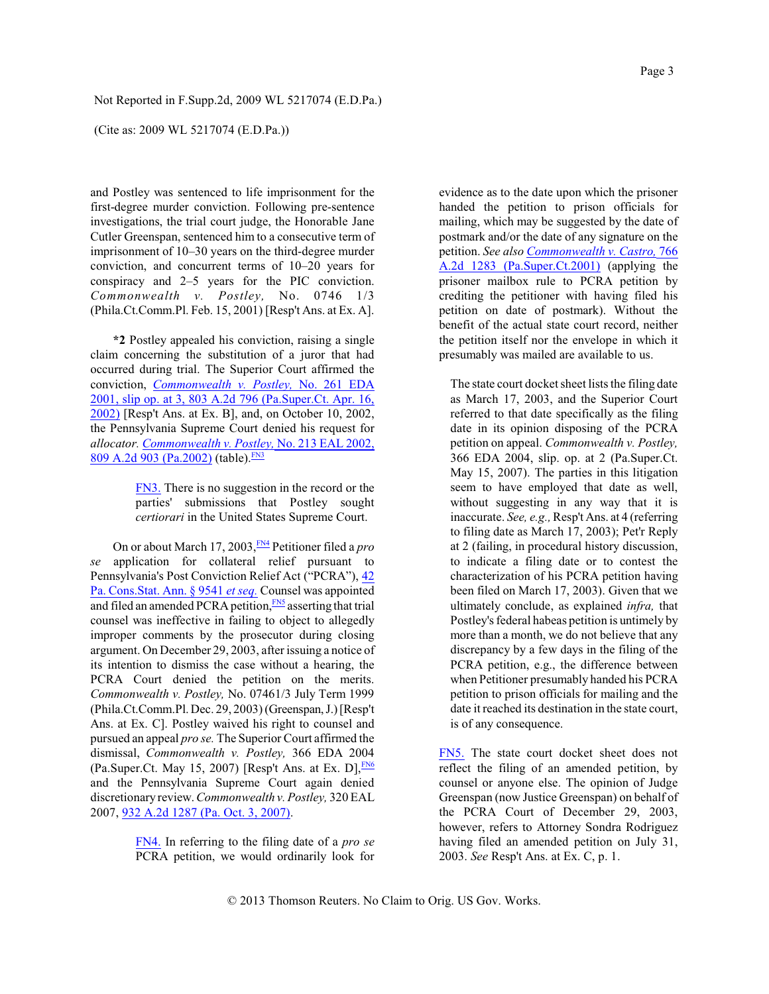(Cite as: 2009 WL 5217074 (E.D.Pa.))

and Postley was sentenced to life imprisonment for the first-degree murder conviction. Following pre-sentence investigations, the trial court judge, the Honorable Jane Cutler Greenspan, sentenced him to a consecutive term of imprisonment of 10–30 years on the third-degree murder conviction, and concurrent terms of 10–20 years for conspiracy and 2–5 years for the PIC conviction. *Commonwealth v. Postley,* No. 0746 1/3 (Phila.Ct.Comm.Pl. Feb. 15, 2001) [Resp't Ans. at Ex. A].

**\*2** Postley appealed his conviction, raising a single claim concerning the substitution of a juror that had occurred during trial. The Superior Court affirmed the conviction, *[Commonwealth v. Postley,](http://www.westlaw.com/Find/Default.wl?rs=dfa1.0&vr=2.0&DB=162&FindType=Y&SerialNum=2002433369)* [No. 261 EDA](http://www.westlaw.com/Find/Default.wl?rs=dfa1.0&vr=2.0&DB=162&FindType=Y&SerialNum=2002433369) [2001, slip op. at 3, 803 A.2d](http://www.westlaw.com/Find/Default.wl?rs=dfa1.0&vr=2.0&DB=162&FindType=Y&SerialNum=2002433369) 796 (Pa.Super.Ct. Apr. 16, [2002\)](http://www.westlaw.com/Find/Default.wl?rs=dfa1.0&vr=2.0&DB=162&FindType=Y&SerialNum=2002433369) [Resp't Ans. at Ex. B], and, on October 10, 2002, the Pennsylvania Supreme Court denied his request for *allocator. [Commonwealth v. Postley,](http://www.westlaw.com/Find/Default.wl?rs=dfa1.0&vr=2.0&DB=162&FindType=Y&SerialNum=2002646581)* [No. 213 EAL](http://www.westlaw.com/Find/Default.wl?rs=dfa1.0&vr=2.0&DB=162&FindType=Y&SerialNum=2002646581) 2002, [809 A.2d 903 \(Pa.2002\)](http://www.westlaw.com/Find/Default.wl?rs=dfa1.0&vr=2.0&DB=162&FindType=Y&SerialNum=2002646581) (table). [FN3](#page-2-0)

> <span id="page-2-5"></span><span id="page-2-4"></span><span id="page-2-1"></span><span id="page-2-0"></span>[FN3.](#page-2-1) There is no suggestion in the record or the parties' submissions that Postley sought *certiorari* in the United States Supreme Court.

On or about March 17, 2003, [FN4](#page-2-2) Petitioner filed a *pro se* application for collateral relief pursuant to Pennsylvania's Post Conviction Relief Act ("PCRA"), [42](http://www.westlaw.com/Find/Default.wl?rs=dfa1.0&vr=2.0&DB=1000262&DocName=PA42S9541&FindType=L) [Pa. Cons.Stat. Ann. § 9541](http://www.westlaw.com/Find/Default.wl?rs=dfa1.0&vr=2.0&DB=1000262&DocName=PA42S9541&FindType=L) *[et seq.](http://www.westlaw.com/Find/Default.wl?rs=dfa1.0&vr=2.0&DB=1000262&DocName=PA42S9541&FindType=L)* Counsel was appointed and filed an amended PCRA petition, **[FN5](#page-2-3)** asserting that trial counsel was ineffective in failing to object to allegedly improper comments by the prosecutor during closing argument. On December 29, 2003, after issuing a notice of its intention to dismiss the case without a hearing, the PCRA Court denied the petition on the merits. *Commonwealth v. Postley,* No. 07461/3 July Term 1999 (Phila.Ct.Comm.Pl. Dec. 29, 2003) (Greenspan, J.) [Resp't Ans. at Ex. C]. Postley waived his right to counsel and pursued an appeal *pro se.* The Superior Court affirmed the dismissal, *Commonwealth v. Postley,* 366 EDA 2004 (Pa.Super.Ct. May 15, 2007) [Resp't Ans. at Ex. D],  $\frac{FN6}{5}$  $\frac{FN6}{5}$  $\frac{FN6}{5}$ and the Pennsylvania Supreme Court again denied discretionary review. *Commonwealth v. Postley,* 320 EAL 2007, [932 A.2d 1287 \(Pa. Oct. 3, 2007\)](http://www.westlaw.com/Find/Default.wl?rs=dfa1.0&vr=2.0&DB=162&DocName=932AT2D1287&FindType=Y).

> <span id="page-2-2"></span>[FN4.](#page-2-4) In referring to the filing date of a *pro se* PCRA petition, we would ordinarily look for

evidence as to the date upon which the prisoner handed the petition to prison officials for mailing, which may be suggested by the date of postmark and/or the date of any signature on the petition. *See also [Commonwealth v. Castro,](http://www.westlaw.com/Find/Default.wl?rs=dfa1.0&vr=2.0&DB=162&FindType=Y&SerialNum=2001073941)* [766](http://www.westlaw.com/Find/Default.wl?rs=dfa1.0&vr=2.0&DB=162&FindType=Y&SerialNum=2001073941) A.2d 1283 [\(Pa.Super.Ct.2001\)](http://www.westlaw.com/Find/Default.wl?rs=dfa1.0&vr=2.0&DB=162&FindType=Y&SerialNum=2001073941) (applying the prisoner mailbox rule to PCRA petition by crediting the petitioner with having filed his petition on date of postmark). Without the benefit of the actual state court record, neither the petition itself nor the envelope in which it presumably was mailed are available to us.

The state court docket sheet lists the filing date as March 17, 2003, and the Superior Court referred to that date specifically as the filing date in its opinion disposing of the PCRA petition on appeal. *Commonwealth v. Postley,* 366 EDA 2004, slip. op. at 2 (Pa.Super.Ct. May 15, 2007). The parties in this litigation seem to have employed that date as well, without suggesting in any way that it is inaccurate. *See, e.g.,*Resp't Ans. at 4 (referring to filing date as March 17, 2003); Pet'r Reply at 2 (failing, in procedural history discussion, to indicate a filing date or to contest the characterization of his PCRA petition having been filed on March 17, 2003). Given that we ultimately conclude, as explained *infra,* that Postley's federal habeas petition is untimely by more than a month, we do not believe that any discrepancy by a few days in the filing of the PCRA petition, e.g., the difference between when Petitioner presumably handed his PCRA petition to prison officials for mailing and the date it reached its destination in the state court, is of any consequence.

<span id="page-2-6"></span><span id="page-2-3"></span>[FN5.](#page-2-5) The state court docket sheet does not reflect the filing of an amended petition, by counsel or anyone else. The opinion of Judge Greenspan (now Justice Greenspan) on behalf of the PCRA Court of December 29, 2003, however, refers to Attorney Sondra Rodriguez having filed an amended petition on July 31, 2003. *See* Resp't Ans. at Ex. C, p. 1.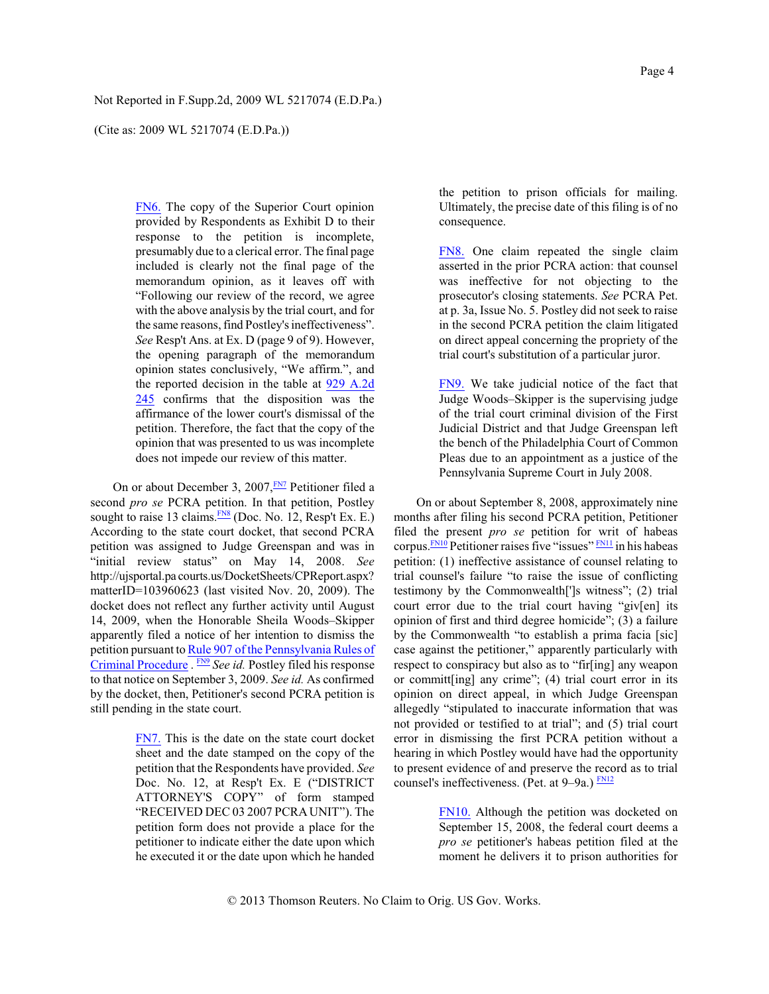(Cite as: 2009 WL 5217074 (E.D.Pa.))

<span id="page-3-0"></span>[FN6.](#page-2-6) The copy of the Superior Court opinion provided by Respondents as Exhibit D to their response to the petition is incomplete, presumably due to a clerical error. The final page included is clearly not the final page of the memorandum opinion, as it leaves off with "Following our review of the record, we agree with the above analysis by the trial court, and for the same reasons, find Postley's ineffectiveness". *See* Resp't Ans. at Ex. D (page 9 of 9). However, the opening paragraph of the memorandum opinion states conclusively, "We affirm.", and the reported decision in the table at [929 A.2d](http://www.westlaw.com/Find/Default.wl?rs=dfa1.0&vr=2.0&DB=162&DocName=929AT2D245&FindType=Y) [245](http://www.westlaw.com/Find/Default.wl?rs=dfa1.0&vr=2.0&DB=162&DocName=929AT2D245&FindType=Y) confirms that the disposition was the affirmance of the lower court's dismissal of the petition. Therefore, the fact that the copy of the opinion that was presented to us was incomplete does not impede our review of this matter.

<span id="page-3-5"></span>On or about December 3, 2007, **[FN7](#page-3-1)** Petitioner filed a second *pro se* PCRA petition. In that petition, Postley sought to raise 13 claims. [FN8](#page-3-2) (Doc. No. 12, Resp't Ex. E.) According to the state court docket, that second PCRA petition was assigned to Judge Greenspan and was in "initial review status" on May 14, 2008. *See* http://ujsportal.pa courts.us/DocketSheets/CPReport.aspx? matterID=103960623 (last visited Nov. 20, 2009). The docket does not reflect any further activity until August 14, 2009, when the Honorable Sheila Woods–Skipper apparently filed a notice of her intention to dismiss the petition pursuant to [Rule 907 of the Pennsylvania Rules of](http://www.westlaw.com/Find/Default.wl?rs=dfa1.0&vr=2.0&DB=1000262&DocName=PASTRCRPR907&FindType=L) [Criminal Procedure](http://www.westlaw.com/Find/Default.wl?rs=dfa1.0&vr=2.0&DB=1000262&DocName=PASTRCRPR907&FindType=L) . **[FN9](#page-3-3)** See id. Postley filed his response to that notice on September 3, 2009. *See id.* As confirmed by the docket, then, Petitioner's second PCRA petition is still pending in the state court.

> <span id="page-3-6"></span><span id="page-3-1"></span>[FN7.](#page-3-4) This is the date on the state court docket sheet and the date stamped on the copy of the petition that the Respondents have provided. *See* Doc. No. 12, at Resp't Ex. E ("DISTRICT ATTORNEY'S COPY" of form stamped "RECEIVED DEC 03 2007 PCRA UNIT"). The petition form does not provide a place for the petitioner to indicate either the date upon which he executed it or the date upon which he handed

the petition to prison officials for mailing. Ultimately, the precise date of this filing is of no consequence.

<span id="page-3-2"></span>[FN8.](#page-3-5) One claim repeated the single claim asserted in the prior PCRA action: that counsel was ineffective for not objecting to the prosecutor's closing statements. *See* PCRA Pet. at p. 3a, Issue No. 5. Postley did not seek to raise in the second PCRA petition the claim litigated on direct appeal concerning the propriety of the trial court's substitution of a particular juror.

<span id="page-3-3"></span>[FN9.](#page-3-6) We take judicial notice of the fact that Judge Woods–Skipper is the supervising judge of the trial court criminal division of the First Judicial District and that Judge Greenspan left the bench of the Philadelphia Court of Common Pleas due to an appointment as a justice of the Pennsylvania Supreme Court in July 2008.

<span id="page-3-9"></span><span id="page-3-8"></span><span id="page-3-4"></span>On or about September 8, 2008, approximately nine months after filing his second PCRA petition, Petitioner filed the present *pro se* petition for writ of habeas corpus.<sup>[FN10](#page-3-7)</sup> Petitioner raises five "issues" [FN11](#page-4-0) in his habeas petition: (1) ineffective assistance of counsel relating to trial counsel's failure "to raise the issue of conflicting testimony by the Commonwealth[']s witness"; (2) trial court error due to the trial court having "giv[en] its opinion of first and third degree homicide"; (3) a failure by the Commonwealth "to establish a prima facia [sic] case against the petitioner," apparently particularly with respect to conspiracy but also as to "fir[ing] any weapon or committ[ing] any crime"; (4) trial court error in its opinion on direct appeal, in which Judge Greenspan allegedly "stipulated to inaccurate information that was not provided or testified to at trial"; and (5) trial court error in dismissing the first PCRA petition without a hearing in which Postley would have had the opportunity to present evidence of and preserve the record as to trial counsel's ineffectiveness. (Pet. at  $9-9a$ .)  $\frac{FN12}{FN12}$  $\frac{FN12}{FN12}$  $\frac{FN12}{FN12}$ 

> <span id="page-3-10"></span><span id="page-3-7"></span>[FN10.](#page-3-8) Although the petition was docketed on September 15, 2008, the federal court deems a *pro se* petitioner's habeas petition filed at the moment he delivers it to prison authorities for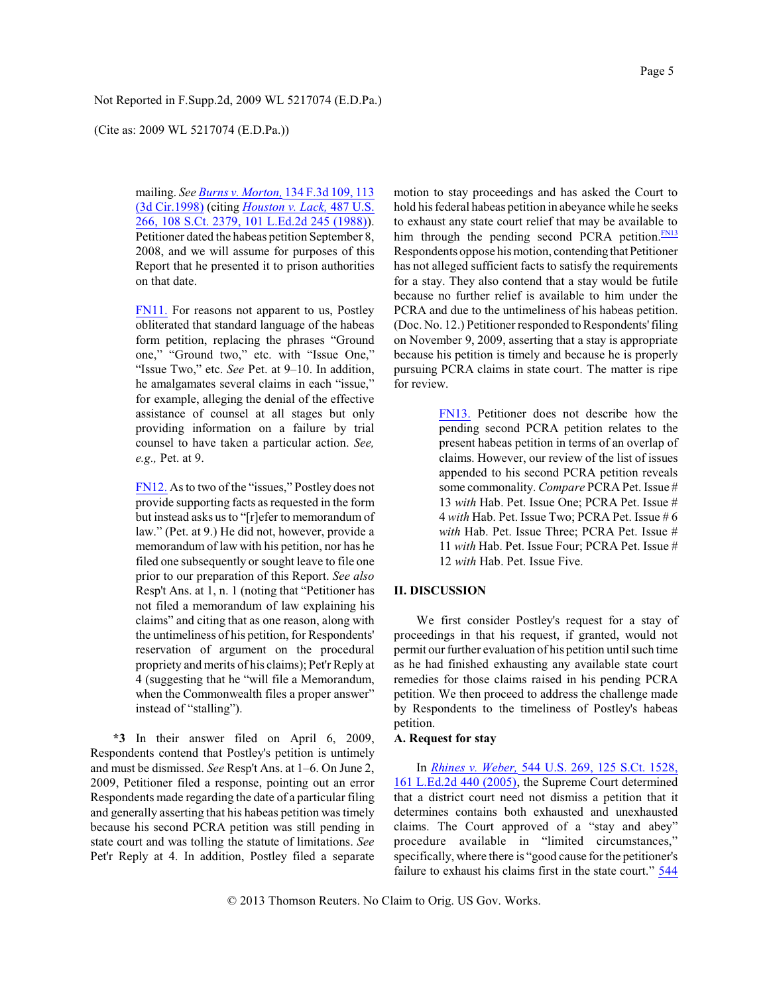(Cite as: 2009 WL 5217074 (E.D.Pa.))

mailing. *See [Burns v. Morton,](http://www.westlaw.com/Find/Default.wl?rs=dfa1.0&vr=2.0&DB=506&FindType=Y&ReferencePositionType=S&SerialNum=1998035358&ReferencePosition=113)* [134 F.3d](http://www.westlaw.com/Find/Default.wl?rs=dfa1.0&vr=2.0&DB=506&FindType=Y&ReferencePositionType=S&SerialNum=1998035358&ReferencePosition=113) 109, 113 [\(3d Cir.1998\)](http://www.westlaw.com/Find/Default.wl?rs=dfa1.0&vr=2.0&DB=506&FindType=Y&ReferencePositionType=S&SerialNum=1998035358&ReferencePosition=113) (citing *[Houston v. Lack,](http://www.westlaw.com/Find/Default.wl?rs=dfa1.0&vr=2.0&DB=708&FindType=Y&SerialNum=1988082106)* [487 U.S.](http://www.westlaw.com/Find/Default.wl?rs=dfa1.0&vr=2.0&DB=708&FindType=Y&SerialNum=1988082106) 266, [108 S.Ct. 2379, 101 L.Ed.2d 245 \(1988\)](http://www.westlaw.com/Find/Default.wl?rs=dfa1.0&vr=2.0&DB=708&FindType=Y&SerialNum=1988082106)). Petitioner dated the habeas petition September 8, 2008, and we will assume for purposes of this Report that he presented it to prison authorities on that date.

<span id="page-4-0"></span>[FN11.](#page-3-9) For reasons not apparent to us, Postley obliterated that standard language of the habeas form petition, replacing the phrases "Ground one," "Ground two," etc. with "Issue One," "Issue Two," etc. *See* Pet. at 9–10. In addition, he amalgamates several claims in each "issue," for example, alleging the denial of the effective assistance of counsel at all stages but only providing information on a failure by trial counsel to have taken a particular action. *See, e.g.,* Pet. at 9.

<span id="page-4-1"></span>[FN12.](#page-3-10) As to two of the "issues," Postley does not provide supporting facts as requested in the form but instead asks us to "[r]efer to memorandum of law." (Pet. at 9.) He did not, however, provide a memorandum of law with his petition, nor has he filed one subsequently or sought leave to file one prior to our preparation of this Report. *See also* Resp't Ans. at 1, n. 1 (noting that "Petitioner has not filed a memorandum of law explaining his claims" and citing that as one reason, along with the untimeliness of his petition, for Respondents' reservation of argument on the procedural propriety and merits of his claims); Pet'r Reply at 4 (suggesting that he "will file a Memorandum, when the Commonwealth files a proper answer" instead of "stalling").

**\*3** In their answer filed on April 6, 2009, Respondents contend that Postley's petition is untimely and must be dismissed. *See* Resp't Ans. at 1–6. On June 2, 2009, Petitioner filed a response, pointing out an error Respondents made regarding the date of a particular filing and generally asserting that his habeas petition was timely because his second PCRA petition was still pending in state court and was tolling the statute of limitations. *See* Pet'r Reply at 4. In addition, Postley filed a separate

<span id="page-4-3"></span>motion to stay proceedings and has asked the Court to hold his federal habeas petition in abeyance while he seeks to exhaust any state court relief that may be available to him through the pending second PCRA petition. $F<sub>N13</sub>$ Respondents oppose his motion, contending that Petitioner has not alleged sufficient facts to satisfy the requirements for a stay. They also contend that a stay would be futile because no further relief is available to him under the PCRA and due to the untimeliness of his habeas petition. (Doc. No. 12.) Petitioner responded to Respondents'filing on November 9, 2009, asserting that a stay is appropriate because his petition is timely and because he is properly pursuing PCRA claims in state court. The matter is ripe for review.

> <span id="page-4-2"></span>[FN13.](#page-4-3) Petitioner does not describe how the pending second PCRA petition relates to the present habeas petition in terms of an overlap of claims. However, our review of the list of issues appended to his second PCRA petition reveals some commonality. *Compare* PCRA Pet. Issue # 13 *with* Hab. Pet. Issue One; PCRA Pet. Issue # 4 *with* Hab. Pet. Issue Two; PCRA Pet. Issue # 6 *with* Hab. Pet. Issue Three; PCRA Pet. Issue # 11 *with* Hab. Pet. Issue Four; PCRA Pet. Issue # 12 *with* Hab. Pet. Issue Five.

### **II. DISCUSSION**

We first consider Postley's request for a stay of proceedings in that his request, if granted, would not permit our further evaluation of his petition until such time as he had finished exhausting any available state court remedies for those claims raised in his pending PCRA petition. We then proceed to address the challenge made by Respondents to the timeliness of Postley's habeas petition.

# **A. Request for stay**

In *[Rhines v. Weber,](http://www.westlaw.com/Find/Default.wl?rs=dfa1.0&vr=2.0&DB=708&FindType=Y&SerialNum=2006397496)* [544 U.S. 269, 125 S.Ct. 1528,](http://www.westlaw.com/Find/Default.wl?rs=dfa1.0&vr=2.0&DB=708&FindType=Y&SerialNum=2006397496) [161 L.Ed.2d 440 \(2005\)](http://www.westlaw.com/Find/Default.wl?rs=dfa1.0&vr=2.0&DB=708&FindType=Y&SerialNum=2006397496), the Supreme Court determined that a district court need not dismiss a petition that it determines contains both exhausted and unexhausted claims. The Court approved of a "stay and abey" procedure available in "limited circumstances," specifically, where there is "good cause for the petitioner's failure to exhaust his claims first in the state court."  $\frac{544}{544}$  $\frac{544}{544}$  $\frac{544}{544}$ 

[© 2013 Thomson Reuters. No Claim to Orig. US Gov. Works.](http://www.westlaw.com/Find/Default.wl?rs=dfa1.0&vr=2.0&DB=780&FindType=Y&ReferencePositionType=S&SerialNum=2006397496&ReferencePosition=277)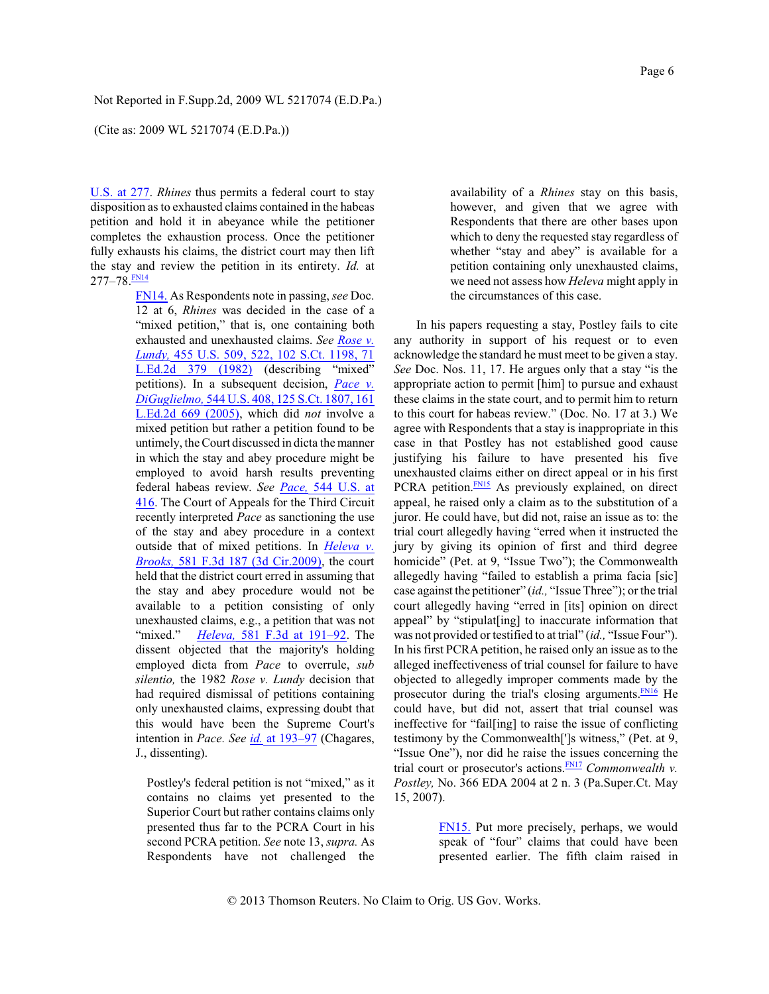(Cite as: 2009 WL 5217074 (E.D.Pa.))

U.S. at 277. *Rhines* thus permits a federal court to stay disposition as to exhausted claims contained in the habeas petition and hold it in abeyance while the petitioner completes the exhaustion process. Once the petitioner fully exhausts his claims, the district court may then lift the stay and review the petition in its entirety. *Id.* at 277–78. <mark>EN14</mark>

> <span id="page-5-1"></span><span id="page-5-0"></span>[FN14.](#page-5-1) As Respondents note in passing, *see* Doc. 12 at 6, *Rhines* was decided in the case of a "mixed petition," that is, one containing both exhausted and unexhausted claims. *See [Rose v.](http://www.westlaw.com/Find/Default.wl?rs=dfa1.0&vr=2.0&DB=708&FindType=Y&SerialNum=1982109838) [Lundy,](http://www.westlaw.com/Find/Default.wl?rs=dfa1.0&vr=2.0&DB=708&FindType=Y&SerialNum=1982109838)* 455 U.S. 509, [522, 102 S.Ct. 1198, 71](http://www.westlaw.com/Find/Default.wl?rs=dfa1.0&vr=2.0&DB=708&FindType=Y&SerialNum=1982109838) [L.Ed.2d 379 \(1982\)](http://www.westlaw.com/Find/Default.wl?rs=dfa1.0&vr=2.0&DB=708&FindType=Y&SerialNum=1982109838) (describing "mixed" petitions). In a subsequent decision, *[Pace v.](http://www.westlaw.com/Find/Default.wl?rs=dfa1.0&vr=2.0&DB=708&FindType=Y&SerialNum=2006522650) [DiGuglielmo,](http://www.westlaw.com/Find/Default.wl?rs=dfa1.0&vr=2.0&DB=708&FindType=Y&SerialNum=2006522650)* [544 U.S. 408, 125 S.Ct. 1807, 161](http://www.westlaw.com/Find/Default.wl?rs=dfa1.0&vr=2.0&DB=708&FindType=Y&SerialNum=2006522650) [L.Ed.2d 669 \(2005\)](http://www.westlaw.com/Find/Default.wl?rs=dfa1.0&vr=2.0&DB=708&FindType=Y&SerialNum=2006522650), which did *not* involve a mixed petition but rather a petition found to be untimely, the Court discussed in dicta the manner in which the stay and abey procedure might be employed to avoid harsh results preventing federal habeas review. *See [Pace,](http://www.westlaw.com/Find/Default.wl?rs=dfa1.0&vr=2.0&DB=780&FindType=Y&ReferencePositionType=S&SerialNum=2006522650&ReferencePosition=416)* 544 [U.S. at](http://www.westlaw.com/Find/Default.wl?rs=dfa1.0&vr=2.0&DB=780&FindType=Y&ReferencePositionType=S&SerialNum=2006522650&ReferencePosition=416) [416](http://www.westlaw.com/Find/Default.wl?rs=dfa1.0&vr=2.0&DB=780&FindType=Y&ReferencePositionType=S&SerialNum=2006522650&ReferencePosition=416). The Court of Appeals for the Third Circuit recently interpreted *Pace* as sanctioning the use of the stay and abey procedure in a context outside that of mixed petitions. In *[Heleva](http://www.westlaw.com/Find/Default.wl?rs=dfa1.0&vr=2.0&DB=506&FindType=Y&SerialNum=2019798670) v. [Brooks,](http://www.westlaw.com/Find/Default.wl?rs=dfa1.0&vr=2.0&DB=506&FindType=Y&SerialNum=2019798670)* 581 F.3d [187 \(3d Cir.2009\)](http://www.westlaw.com/Find/Default.wl?rs=dfa1.0&vr=2.0&DB=506&FindType=Y&SerialNum=2019798670), the court held that the district court erred in assuming that the stay and abey procedure would not be available to a petition consisting of only unexhausted claims, e.g., a petition that was not "mixed." *Heleva*, 581 F.3d at 191-92. The dissent objected that the majority's holding employed dicta from *Pace* to overrule, *sub silentio,* the 1982 *Rose v. Lundy* decision that had required dismissal of petitions containing only unexhausted claims, expressing doubt that this would have been the Supreme Court's intention in *Pace. See [id.](http://www.westlaw.com/Find/Default.wl?rs=dfa1.0&vr=2.0&FindType=Y&SerialNum=2019798670)* [at 193–97](http://www.westlaw.com/Find/Default.wl?rs=dfa1.0&vr=2.0&FindType=Y&SerialNum=2019798670) (Chagares, J., dissenting).

Postley's federal petition is not "mixed," as it contains no claims yet presented to the Superior Court but rather contains claims only presented thus far to the PCRA Court in his second PCRA petition. *See* note 13, *supra.* As Respondents have not challenged the

availability of a *Rhines* stay on this basis, however, and given that we agree with Respondents that there are other bases upon which to deny the requested stay regardless of whether "stay and abey" is available for a petition containing only unexhausted claims, we need not assess how *Heleva* might apply in the circumstances of this case.

<span id="page-5-3"></span>In his papers requesting a stay, Postley fails to cite any authority in support of his request or to even acknowledge the standard he must meet to be given a stay. *See* Doc. Nos. 11, 17. He argues only that a stay "is the appropriate action to permit [him] to pursue and exhaust these claims in the state court, and to permit him to return to this court for habeas review." (Doc. No. 17 at 3.) We agree with Respondents that a stay is inappropriate in this case in that Postley has not established good cause justifying his failure to have presented his five unexhausted claims either on direct appeal or in his first PCRA petition.<sup>[FN15](#page-5-2)</sup> As previously explained, on direct appeal, he raised only a claim as to the substitution of a juror. He could have, but did not, raise an issue as to: the trial court allegedly having "erred when it instructed the jury by giving its opinion of first and third degree homicide" (Pet. at 9, "Issue Two"); the Commonwealth allegedly having "failed to establish a prima facia [sic] case against the petitioner" (*id.,* "Issue Three"); or the trial court allegedly having "erred in [its] opinion on direct appeal" by "stipulat[ing] to inaccurate information that was not provided or testified to at trial" (*id.,* "Issue Four"). In hisfirst PCRA petition, he raised only an issue as to the alleged ineffectiveness of trial counsel for failure to have objected to allegedly improper comments made by the prosecutor during the trial's closing arguments. $\frac{FN16}{FN16}$  $\frac{FN16}{FN16}$  $\frac{FN16}{FN16}$  He could have, but did not, assert that trial counsel was ineffective for "fail[ing] to raise the issue of conflicting testimony by the Commonwealth[']s witness," (Pet. at 9, "Issue One"), nor did he raise the issues concerning the trial court or prosecutor's actions.<sup>[FN17](#page-6-1)</sup> *Commonwealth v. Postley,* No. 366 EDA 2004 at 2 n. 3 (Pa.Super.Ct. May 15, 2007).

> <span id="page-5-5"></span><span id="page-5-4"></span><span id="page-5-2"></span>[FN15.](#page-5-3) Put more precisely, perhaps, we would speak of "four" claims that could have been presented earlier. The fifth claim raised in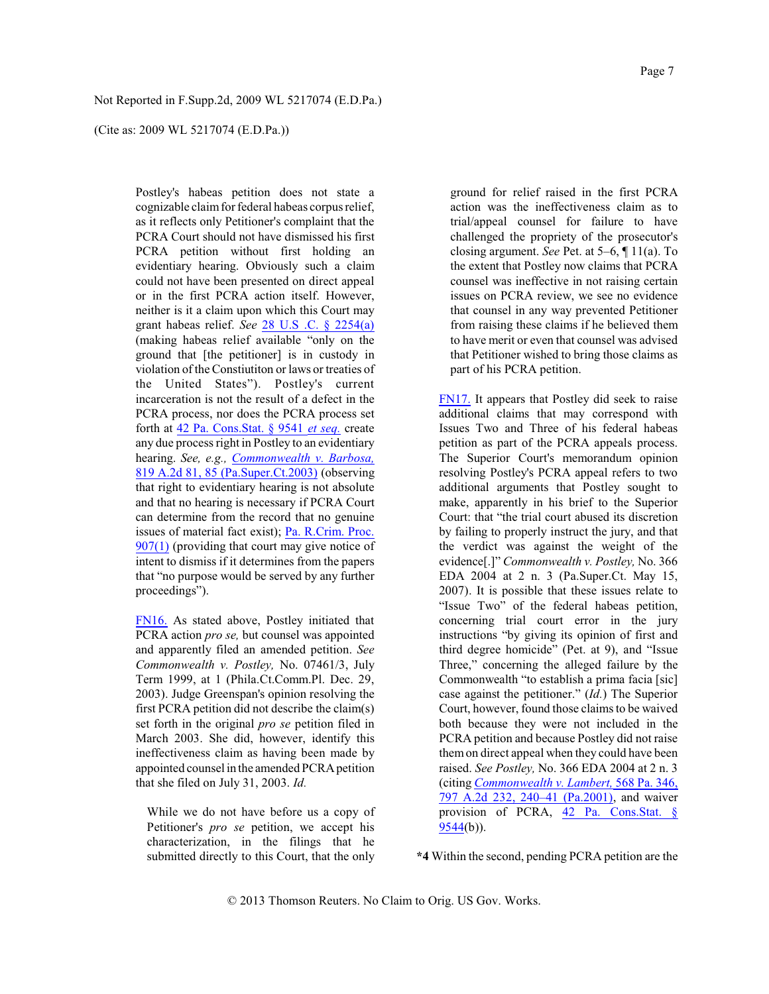(Cite as: 2009 WL 5217074 (E.D.Pa.))

Postley's habeas petition does not state a cognizable claimfor federal habeas corpus relief, as it reflects only Petitioner's complaint that the PCRA Court should not have dismissed his first PCRA petition without first holding an evidentiary hearing. Obviously such a claim could not have been presented on direct appeal or in the first PCRA action itself. However, neither is it a claim upon which this Court may grant habeas relief. *See* 28 U.S [.C. § 2254\(a\)](http://www.westlaw.com/Find/Default.wl?rs=dfa1.0&vr=2.0&DB=1000546&DocName=28USCAS2254&FindType=L&ReferencePositionType=T&ReferencePosition=SP_8b3b0000958a4) (making habeas relief available "only on the ground that [the petitioner] is in custody in violation of the Constiutiton or laws or treaties of the United States"). Postley's current incarceration is not the result of a defect in the PCRA process, nor does the PCRA process set forth at 42 [Pa. Cons.Stat. § 9541](http://www.westlaw.com/Find/Default.wl?rs=dfa1.0&vr=2.0&DB=1000262&DocName=PA42S9541&FindType=L) *[et seq.](http://www.westlaw.com/Find/Default.wl?rs=dfa1.0&vr=2.0&DB=1000262&DocName=PA42S9541&FindType=L)* create any due process right in Postley to an evidentiary hearing. *See, e.g., [Commonwealth](http://www.westlaw.com/Find/Default.wl?rs=dfa1.0&vr=2.0&DB=162&FindType=Y&ReferencePositionType=S&SerialNum=2003183152&ReferencePosition=85) v. Barbosa,* 819 A.2d 81, 85 [\(Pa.Super.Ct.2003\)](http://www.westlaw.com/Find/Default.wl?rs=dfa1.0&vr=2.0&DB=162&FindType=Y&ReferencePositionType=S&SerialNum=2003183152&ReferencePosition=85) (observing that right to evidentiary hearing is not absolute and that no hearing is necessary if PCRA Court can determine from the record that no genuine issues of material fact exist); [Pa. R.Crim. Proc.](http://www.westlaw.com/Find/Default.wl?rs=dfa1.0&vr=2.0&DB=1000262&DocName=PASTRCRPR907&FindType=L) [907\(1\)](http://www.westlaw.com/Find/Default.wl?rs=dfa1.0&vr=2.0&DB=1000262&DocName=PASTRCRPR907&FindType=L) (providing that court may give notice of intent to dismiss if it determines from the papers that "no purpose would be served by any further proceedings").

<span id="page-6-0"></span>[FN16.](#page-5-4) As stated above, Postley initiated that PCRA action *pro se,* but counsel was appointed and apparently filed an amended petition. *See Commonwealth v. Postley,* No. 07461/3, July Term 1999, at 1 (Phila.Ct.Comm.Pl. Dec. 29, 2003). Judge Greenspan's opinion resolving the first PCRA petition did not describe the claim(s) set forth in the original *pro se* petition filed in March 2003. She did, however, identify this ineffectiveness claim as having been made by appointed counsel in the amended PCRApetition that she filed on July 31, 2003. *Id.*

While we do not have before us a copy of Petitioner's *pro se* petition, we accept his characterization, in the filings that he submitted directly to this Court, that the only ground for relief raised in the first PCRA action was the ineffectiveness claim as to trial/appeal counsel for failure to have challenged the propriety of the prosecutor's closing argument. *See* Pet. at 5–6, ¶ 11(a). To the extent that Postley now claims that PCRA counsel was ineffective in not raising certain issues on PCRA review, we see no evidence that counsel in any way prevented Petitioner from raising these claims if he believed them to have merit or even that counsel was advised that Petitioner wished to bring those claims as part of his PCRA petition.

<span id="page-6-1"></span>[FN17.](#page-5-5) It appears that Postley did seek to raise additional claims that may correspond with Issues Two and Three of his federal habeas petition as part of the PCRA appeals process. The Superior Court's memorandum opinion resolving Postley's PCRA appeal refers to two additional arguments that Postley sought to make, apparently in his brief to the Superior Court: that "the trial court abused its discretion by failing to properly instruct the jury, and that the verdict was against the weight of the evidence[.]" *Commonwealth v. Postley,* No. 366 EDA 2004 at 2 n. 3 (Pa.Super.Ct. May 15, 2007). It is possible that these issues relate to "Issue Two" of the federal habeas petition, concerning trial court error in the jury instructions "by giving its opinion of first and third degree homicide" (Pet. at 9), and "Issue Three," concerning the alleged failure by the Commonwealth "to establish a prima facia [sic] case against the petitioner." (*Id.*) The Superior Court, however, found those claims to be waived both because they were not included in the PCRA petition and because Postley did not raise themon direct appeal when they could have been raised. *See Postley,* No. 366 EDA 2004 at 2 n. 3 (citing *[Commonwealth v. Lambert,](http://www.westlaw.com/Find/Default.wl?rs=dfa1.0&vr=2.0&DB=162&FindType=Y&ReferencePositionType=S&SerialNum=2002179893&ReferencePosition=240)* [568 Pa. 346,](http://www.westlaw.com/Find/Default.wl?rs=dfa1.0&vr=2.0&DB=162&FindType=Y&ReferencePositionType=S&SerialNum=2002179893&ReferencePosition=240) 797 A.2d [232, 240–41](http://www.westlaw.com/Find/Default.wl?rs=dfa1.0&vr=2.0&DB=162&FindType=Y&ReferencePositionType=S&SerialNum=2002179893&ReferencePosition=240) (Pa.2001), and waiver provision of PCRA, 42 [Pa. Cons.Stat. §](http://www.westlaw.com/Find/Default.wl?rs=dfa1.0&vr=2.0&DB=1000262&DocName=PA42S9544&FindType=L) [9544](http://www.westlaw.com/Find/Default.wl?rs=dfa1.0&vr=2.0&DB=1000262&DocName=PA42S9544&FindType=L)(b)).

**\*4** Within the second, pending PCRA petition are the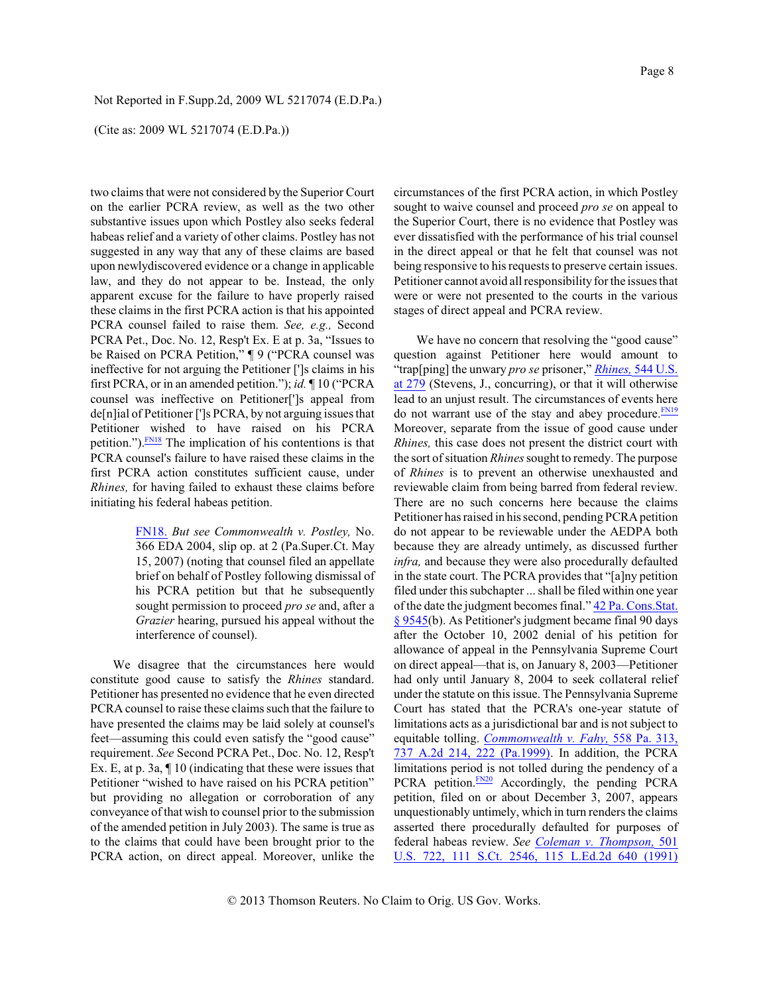(Cite as: 2009 WL 5217074 (E.D.Pa.))

two claims that were not considered by the Superior Court on the earlier PCRA review, as well as the two other substantive issues upon which Postley also seeks federal habeas relief and a variety of other claims. Postley has not suggested in any way that any of these claims are based upon newlydiscovered evidence or a change in applicable law, and they do not appear to be. Instead, the only apparent excuse for the failure to have properly raised these claims in the first PCRA action is that his appointed PCRA counsel failed to raise them. *See, e.g.,* Second PCRA Pet., Doc. No. 12, Resp't Ex. E at p. 3a, "Issues to be Raised on PCRA Petition," ¶ 9 ("PCRA counsel was ineffective for not arguing the Petitioner [']s claims in his first PCRA, or in an amended petition."); *id.* ¶ 10 ("PCRA counsel was ineffective on Petitioner[']s appeal from de[n]ial of Petitioner [']s PCRA, by not arguing issues that Petitioner wished to have raised on his PCRA petition.").[FN18](#page-7-0) The implication of his contentions is that PCRA counsel's failure to have raised these claims in the first PCRA action constitutes sufficient cause, under *Rhines,* for having failed to exhaust these claims before initiating his federal habeas petition.

> <span id="page-7-1"></span><span id="page-7-0"></span>[FN18.](#page-7-1) *But see Commonwealth v. Postley,* No. 366 EDA 2004, slip op. at 2 (Pa.Super.Ct. May 15, 2007) (noting that counsel filed an appellate brief on behalf of Postley following dismissal of his PCRA petition but that he subsequently sought permission to proceed *pro se* and, after a *Grazier* hearing, pursued his appeal without the interference of counsel).

<span id="page-7-3"></span>We disagree that the circumstances here would constitute good cause to satisfy the *Rhines* standard. Petitioner has presented no evidence that he even directed PCRA counsel to raise these claims such that the failure to have presented the claims may be laid solely at counsel's feet—assuming this could even satisfy the "good cause" requirement. *See* Second PCRA Pet., Doc. No. 12, Resp't Ex. E, at p. 3a, ¶ 10 (indicating that these were issues that Petitioner "wished to have raised on his PCRA petition" but providing no allegation or corroboration of any conveyance of that wish to counsel prior to the submission of the amended petition in July 2003). The same is true as to the claims that could have been brought prior to the PCRA action, on direct appeal. Moreover, unlike the

circumstances of the first PCRA action, in which Postley sought to waive counsel and proceed *pro se* on appeal to the Superior Court, there is no evidence that Postley was ever dissatisfied with the performance of his trial counsel in the direct appeal or that he felt that counsel was not being responsive to his requests to preserve certain issues. Petitioner cannot avoid all responsibility for the issues that were or were not presented to the courts in the various stages of direct appeal and PCRA review.

<span id="page-7-2"></span>We have no concern that resolving the "good cause" question against Petitioner here would amount to "trap[ping] the unwary *pro se* prisoner," *[Rhines,](http://www.westlaw.com/Find/Default.wl?rs=dfa1.0&vr=2.0&DB=780&FindType=Y&ReferencePositionType=S&SerialNum=2006397496&ReferencePosition=279)* [544 U.S.](http://www.westlaw.com/Find/Default.wl?rs=dfa1.0&vr=2.0&DB=780&FindType=Y&ReferencePositionType=S&SerialNum=2006397496&ReferencePosition=279) [at 279](http://www.westlaw.com/Find/Default.wl?rs=dfa1.0&vr=2.0&DB=780&FindType=Y&ReferencePositionType=S&SerialNum=2006397496&ReferencePosition=279) (Stevens, J., concurring), or that it will otherwise lead to an unjust result. The circumstances of events here do not warrant use of the stay and abey procedure.  $F_{N19}$ Moreover, separate from the issue of good cause under *Rhines,* this case does not present the district court with the sort of situation *Rhines*sought to remedy. The purpose of *Rhines* is to prevent an otherwise unexhausted and reviewable claim from being barred from federal review. There are no such concerns here because the claims Petitioner has raised in his second, pending PCRA petition do not appear to be reviewable under the AEDPA both because they are already untimely, as discussed further *infra,* and because they were also procedurally defaulted in the state court. The PCRA provides that "[a]ny petition filed under this subchapter ... shall be filed within one year of the date the judgment becomes final." 42 [Pa. Cons.Stat.](http://www.westlaw.com/Find/Default.wl?rs=dfa1.0&vr=2.0&DB=1000262&DocName=PA42S9545&FindType=L) [§ 9545](http://www.westlaw.com/Find/Default.wl?rs=dfa1.0&vr=2.0&DB=1000262&DocName=PA42S9545&FindType=L)(b). As Petitioner's judgment became final 90 days after the October 10, 2002 denial of his petition for allowance of appeal in the Pennsylvania Supreme Court on direct appeal—that is, on January 8, 2003—Petitioner had only until January 8, 2004 to seek collateral relief under the statute on thisissue. The Pennsylvania Supreme Court has stated that the PCRA's one-year statute of limitations acts as a jurisdictional bar and is not subject to equitable tolling. *[Commonwealth v. Fahy,](http://www.westlaw.com/Find/Default.wl?rs=dfa1.0&vr=2.0&DB=162&FindType=Y&ReferencePositionType=S&SerialNum=1999200499&ReferencePosition=222)* [558 Pa. 313,](http://www.westlaw.com/Find/Default.wl?rs=dfa1.0&vr=2.0&DB=162&FindType=Y&ReferencePositionType=S&SerialNum=1999200499&ReferencePosition=222) 737 A.2d [214, 222 \(Pa.1999\)](http://www.westlaw.com/Find/Default.wl?rs=dfa1.0&vr=2.0&DB=162&FindType=Y&ReferencePositionType=S&SerialNum=1999200499&ReferencePosition=222). In addition, the PCRA limitations period is not tolled during the pendency of a PCRA petition. $\frac{FN20}{FN20}$  $\frac{FN20}{FN20}$  $\frac{FN20}{FN20}$  Accordingly, the pending PCRA petition, filed on or about December 3, 2007, appears unquestionably untimely, which in turn renders the claims asserted there procedurally defaulted for purposes of federal habeas review. *See Coleman v. [Thompson,](http://www.westlaw.com/Find/Default.wl?rs=dfa1.0&vr=2.0&DB=708&FindType=Y&SerialNum=1991113585)* [501](http://www.westlaw.com/Find/Default.wl?rs=dfa1.0&vr=2.0&DB=708&FindType=Y&SerialNum=1991113585) [U.S. 722, 111 S.Ct. 2546, 115](http://www.westlaw.com/Find/Default.wl?rs=dfa1.0&vr=2.0&DB=708&FindType=Y&SerialNum=1991113585) L.Ed.2d 640 (1991)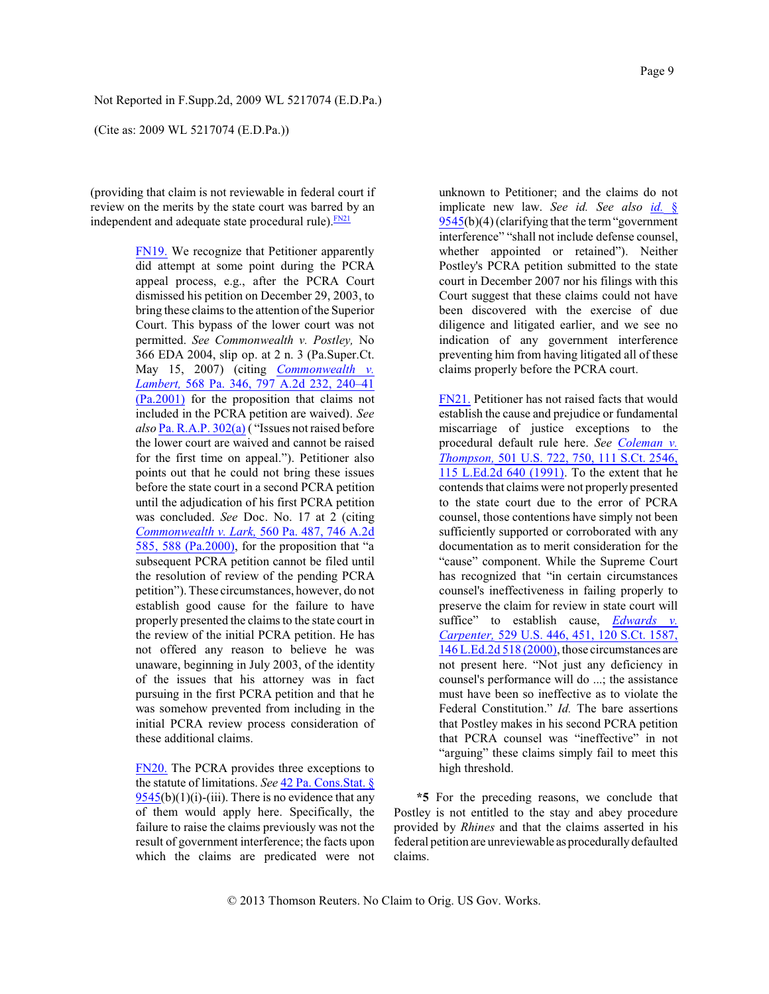(Cite as: 2009 WL 5217074 (E.D.Pa.))

(providing that claim is not reviewable in federal court if review on the merits by the state court was barred by an independent and adequate state procedural rule). $\frac{FN21}{FN21}$  $\frac{FN21}{FN21}$  $\frac{FN21}{FN21}$ 

> <span id="page-8-0"></span>[FN19.](#page-7-2) We recognize that Petitioner apparently did attempt at some point during the PCRA appeal process, e.g., after the PCRA Court dismissed his petition on December 29, 2003, to bring these claims to the attention of the Superior Court. This bypass of the lower court was not permitted. *See Commonwealth v. Postley,* No 366 EDA 2004, slip op. at 2 n. 3 (Pa.Super.Ct. May 15, 2007) (citing *[Commonwealth](http://www.westlaw.com/Find/Default.wl?rs=dfa1.0&vr=2.0&DB=162&FindType=Y&ReferencePositionType=S&SerialNum=2002179893&ReferencePosition=240) v. [Lambert,](http://www.westlaw.com/Find/Default.wl?rs=dfa1.0&vr=2.0&DB=162&FindType=Y&ReferencePositionType=S&SerialNum=2002179893&ReferencePosition=240)* [568 Pa. 346, 797 A.2d](http://www.westlaw.com/Find/Default.wl?rs=dfa1.0&vr=2.0&DB=162&FindType=Y&ReferencePositionType=S&SerialNum=2002179893&ReferencePosition=240) 232, 240–41 [\(Pa.2001\)](http://www.westlaw.com/Find/Default.wl?rs=dfa1.0&vr=2.0&DB=162&FindType=Y&ReferencePositionType=S&SerialNum=2002179893&ReferencePosition=240) for the proposition that claims not included in the PCRA petition are waived). *See also* [Pa. R.A.P. 302\(a\)](http://www.westlaw.com/Find/Default.wl?rs=dfa1.0&vr=2.0&DB=1000262&DocName=PASTRAPR302&FindType=L) ( "Issues not raised before the lower court are waived and cannot be raised for the first time on appeal."). Petitioner also points out that he could not bring these issues before the state court in a second PCRA petition until the adjudication of his first PCRA petition was concluded. *See* Doc. No. 17 at 2 (citing *[Commonwealth v. Lark,](http://www.westlaw.com/Find/Default.wl?rs=dfa1.0&vr=2.0&DB=162&FindType=Y&ReferencePositionType=S&SerialNum=2000061929&ReferencePosition=588)* [560 Pa. 487, 746](http://www.westlaw.com/Find/Default.wl?rs=dfa1.0&vr=2.0&DB=162&FindType=Y&ReferencePositionType=S&SerialNum=2000061929&ReferencePosition=588) A.2d 585, [588 \(Pa.2000\)](http://www.westlaw.com/Find/Default.wl?rs=dfa1.0&vr=2.0&DB=162&FindType=Y&ReferencePositionType=S&SerialNum=2000061929&ReferencePosition=588), for the proposition that "a subsequent PCRA petition cannot be filed until the resolution of review of the pending PCRA petition"). These circumstances, however, do not establish good cause for the failure to have properly presented the claims to the state court in the review of the initial PCRA petition. He has not offered any reason to believe he was unaware, beginning in July 2003, of the identity of the issues that his attorney was in fact pursuing in the first PCRA petition and that he was somehow prevented from including in the initial PCRA review process consideration of these additional claims.

> <span id="page-8-1"></span>[FN20.](#page-7-3) The PCRA provides three exceptions to the statute of limitations. *See* 42 [Pa. Cons.Stat. §](http://www.westlaw.com/Find/Default.wl?rs=dfa1.0&vr=2.0&DB=1000262&DocName=PA42S9545&FindType=L)  $9545(b)(1)(i)$  $9545(b)(1)(i)$ -(iii). There is no evidence that any of them would apply here. Specifically, the failure to raise the claims previously was not the result of government interference; the facts upon which the claims are predicated were not

<span id="page-8-3"></span>unknown to Petitioner; and the claims do not implicate new law. *See id. See also [id.](http://www.westlaw.com/Find/Default.wl?rs=dfa1.0&vr=2.0&DB=1000262&DocName=PA42S9545&FindType=L)* [§](http://www.westlaw.com/Find/Default.wl?rs=dfa1.0&vr=2.0&DB=1000262&DocName=PA42S9545&FindType=L) [9545](http://www.westlaw.com/Find/Default.wl?rs=dfa1.0&vr=2.0&DB=1000262&DocName=PA42S9545&FindType=L)(b)(4) (clarifying that the term "government" interference" "shall not include defense counsel, whether appointed or retained"). Neither Postley's PCRA petition submitted to the state court in December 2007 nor his filings with this Court suggest that these claims could not have been discovered with the exercise of due diligence and litigated earlier, and we see no indication of any government interference preventing him from having litigated all of these claims properly before the PCRA court.

<span id="page-8-2"></span>[FN21.](#page-8-3) Petitioner has not raised facts that would establish the cause and prejudice or fundamental miscarriage of justice exceptions to the procedural default rule here. *See [Coleman](http://www.westlaw.com/Find/Default.wl?rs=dfa1.0&vr=2.0&DB=708&FindType=Y&SerialNum=1991113585) v. [Thompson,](http://www.westlaw.com/Find/Default.wl?rs=dfa1.0&vr=2.0&DB=708&FindType=Y&SerialNum=1991113585)* [501 U.S. 722, 750, 111 S.Ct. 2546,](http://www.westlaw.com/Find/Default.wl?rs=dfa1.0&vr=2.0&DB=708&FindType=Y&SerialNum=1991113585) [115 L.Ed.2d 640 \(1991\)](http://www.westlaw.com/Find/Default.wl?rs=dfa1.0&vr=2.0&DB=708&FindType=Y&SerialNum=1991113585). To the extent that he contends that claims were not properly presented to the state court due to the error of PCRA counsel, those contentions have simply not been sufficiently supported or corroborated with any documentation as to merit consideration for the "cause" component. While the Supreme Court has recognized that "in certain circumstances counsel's ineffectiveness in failing properly to preserve the claim for review in state court will suffice" to establish cause, *[Edwards v.](http://www.westlaw.com/Find/Default.wl?rs=dfa1.0&vr=2.0&DB=708&FindType=Y&SerialNum=2000111327) [Carpenter,](http://www.westlaw.com/Find/Default.wl?rs=dfa1.0&vr=2.0&DB=708&FindType=Y&SerialNum=2000111327)* [529 U.S. 446, 451, 120 S.Ct. 1587,](http://www.westlaw.com/Find/Default.wl?rs=dfa1.0&vr=2.0&DB=708&FindType=Y&SerialNum=2000111327) [146 L.Ed.2d 518 \(2000\)](http://www.westlaw.com/Find/Default.wl?rs=dfa1.0&vr=2.0&DB=708&FindType=Y&SerialNum=2000111327), those circumstances are not present here. "Not just any deficiency in counsel's performance will do ...; the assistance must have been so ineffective as to violate the Federal Constitution." *Id.* The bare assertions that Postley makes in his second PCRA petition that PCRA counsel was "ineffective" in not "arguing" these claims simply fail to meet this high threshold.

**\*5** For the preceding reasons, we conclude that Postley is not entitled to the stay and abey procedure provided by *Rhines* and that the claims asserted in his federal petition are unreviewable as procedurally defaulted claims.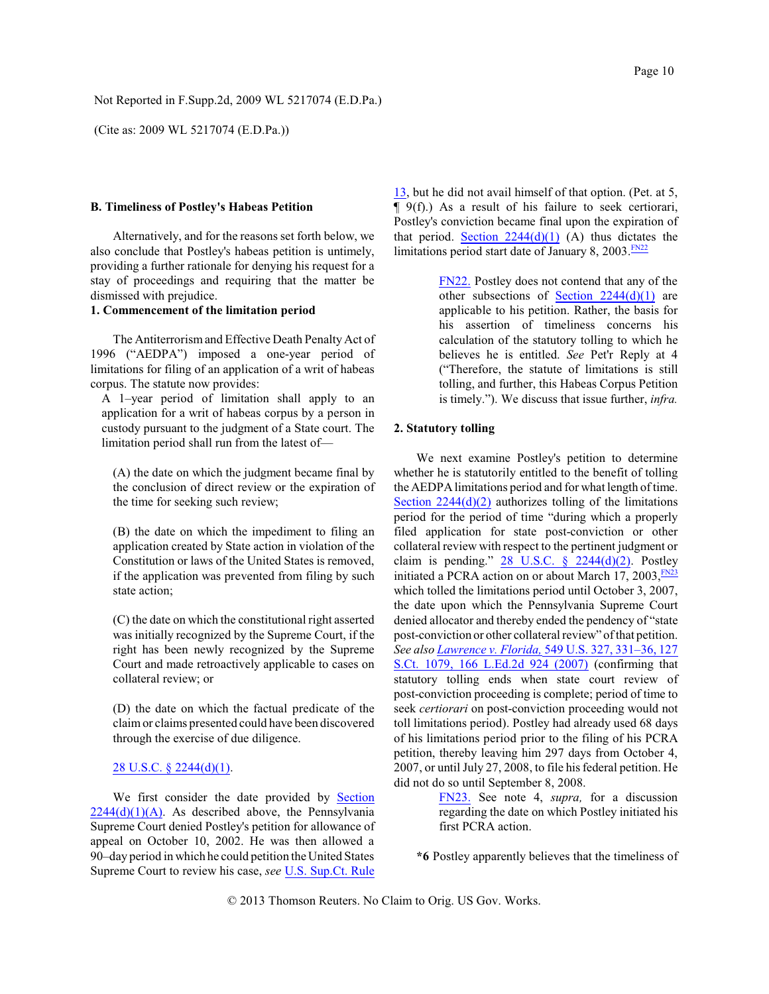(Cite as: 2009 WL 5217074 (E.D.Pa.))

#### **B. Timeliness of Postley's Habeas Petition**

Alternatively, and for the reasons set forth below, we also conclude that Postley's habeas petition is untimely, providing a further rationale for denying his request for a stay of proceedings and requiring that the matter be dismissed with prejudice.

# **1. Commencement of the limitation period**

The Antiterrorismand Effective Death Penalty Act of 1996 ("AEDPA") imposed a one-year period of limitations for filing of an application of a writ of habeas corpus. The statute now provides:

A 1–year period of limitation shall apply to an application for a writ of habeas corpus by a person in custody pursuant to the judgment of a State court. The limitation period shall run from the latest of—

(A) the date on which the judgment became final by the conclusion of direct review or the expiration of the time for seeking such review;

(B) the date on which the impediment to filing an application created by State action in violation of the Constitution or laws of the United States is removed, if the application was prevented from filing by such state action;

(C) the date on which the constitutional right asserted was initially recognized by the Supreme Court, if the right has been newly recognized by the Supreme Court and made retroactively applicable to cases on collateral review; or

(D) the date on which the factual predicate of the claimor claims presented could have been discovered through the exercise of due diligence.

### [28 U.S.C. § 2244\(d\)\(1\)](http://www.westlaw.com/Find/Default.wl?rs=dfa1.0&vr=2.0&DB=1000546&DocName=28USCAS2244&FindType=L&ReferencePositionType=T&ReferencePosition=SP_e07e0000a9f57).

We first consider the date provided by [Section](http://www.westlaw.com/Find/Default.wl?rs=dfa1.0&vr=2.0&DB=1000546&DocName=28USCAS2244&FindType=L&ReferencePositionType=T&ReferencePosition=SP_a7830000870a0)  $2244(d)(1)(A)$ . As described above, the Pennsylvania Supreme Court denied Postley's petition for allowance of appeal on October 10, 2002. He was then allowed a 90–day period in which he could petition the United States Supreme Court to review his case, *see* [U.S. Sup.Ct. Rule](http://www.westlaw.com/Find/Default.wl?rs=dfa1.0&vr=2.0&DB=1004365&DocName=USSCTR13&FindType=L) [13](http://www.westlaw.com/Find/Default.wl?rs=dfa1.0&vr=2.0&DB=1004365&DocName=USSCTR13&FindType=L), but he did not avail himself of that option. (Pet. at 5, ¶ 9(f).) As a result of his failure to seek certiorari, Postley's conviction became final upon the expiration of that period. Section  $2244(d)(1)$  (A) thus dictates the limitations period start date of January 8, 2003. [FN22](#page-9-0)

> <span id="page-9-1"></span><span id="page-9-0"></span>[FN22.](#page-9-1) Postley does not contend that any of the other subsections of Section  $2244(d)(1)$  are applicable to his petition. Rather, the basis for his assertion of timeliness concerns his calculation of the statutory tolling to which he believes he is entitled. *See* Pet'r Reply at 4 ("Therefore, the statute of limitations is still tolling, and further, this Habeas Corpus Petition is timely."). We discuss that issue further, *infra.*

### **2. Statutory tolling**

<span id="page-9-3"></span>We next examine Postley's petition to determine whether he is statutorily entitled to the benefit of tolling the AEDPA limitations period and for what length of time. Section  $2244(d)(2)$  authorizes tolling of the limitations period for the period of time "during which a properly filed application for state post-conviction or other collateral review with respect to the pertinent judgment or claim is pending."  $28$  U.S.C.  $\S$   $2244(d)(2)$ . Postley initiated a PCRA action on or about March 17, 2003, [FN23](#page-9-2) which tolled the limitations period until October 3, 2007, the date upon which the Pennsylvania Supreme Court denied allocator and thereby ended the pendency of "state post-conviction or other collateral review" of that petition. *See also [Lawrence v. Florida,](http://www.westlaw.com/Find/Default.wl?rs=dfa1.0&vr=2.0&DB=708&FindType=Y&SerialNum=2011490670)* [549 U.S. 327, 331–36, 127](http://www.westlaw.com/Find/Default.wl?rs=dfa1.0&vr=2.0&DB=708&FindType=Y&SerialNum=2011490670) S.Ct. [1079, 166 L.Ed.2d 924 \(2007\)](http://www.westlaw.com/Find/Default.wl?rs=dfa1.0&vr=2.0&DB=708&FindType=Y&SerialNum=2011490670) (confirming that statutory tolling ends when state court review of post-conviction proceeding is complete; period of time to seek *certiorari* on post-conviction proceeding would not toll limitations period). Postley had already used 68 days of his limitations period prior to the filing of his PCRA petition, thereby leaving him 297 days from October 4, 2007, or until July 27, 2008, to file his federal petition. He did not do so until September 8, 2008.

> <span id="page-9-2"></span>[FN23.](#page-9-3) See note 4, *supra,* for a discussion regarding the date on which Postley initiated his first PCRA action.

**\*6** Postley apparently believes that the timeliness of

© 2013 Thomson Reuters. No Claim to Orig. US Gov. Works.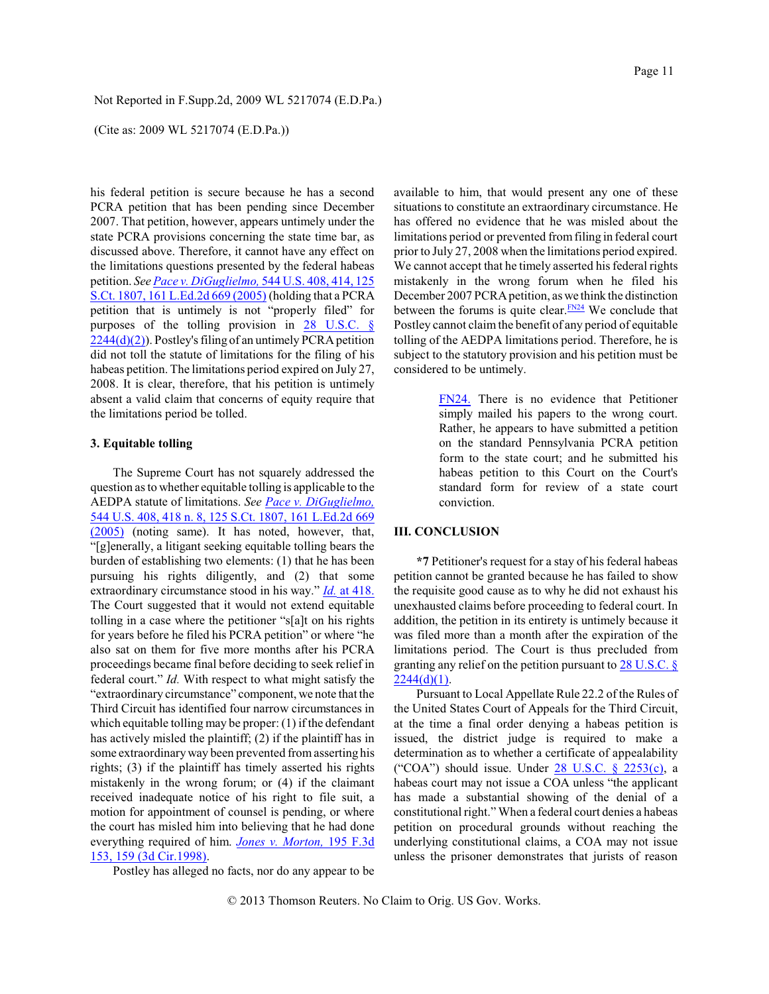(Cite as: 2009 WL 5217074 (E.D.Pa.))

his federal petition is secure because he has a second PCRA petition that has been pending since December 2007. That petition, however, appears untimely under the state PCRA provisions concerning the state time bar, as discussed above. Therefore, it cannot have any effect on the limitations questions presented by the federal habeas petition. *See [Pace v. DiGuglielmo,](http://www.westlaw.com/Find/Default.wl?rs=dfa1.0&vr=2.0&DB=708&FindType=Y&SerialNum=2006522650)* [544 U.S. 408, 414, 125](http://www.westlaw.com/Find/Default.wl?rs=dfa1.0&vr=2.0&DB=708&FindType=Y&SerialNum=2006522650) [S.Ct. 1807, 161 L.Ed.2d 669 \(2005\)](http://www.westlaw.com/Find/Default.wl?rs=dfa1.0&vr=2.0&DB=708&FindType=Y&SerialNum=2006522650) (holding that a PCRA petition that is untimely is not "properly filed" for purposes of the tolling provision in 28 [U.S.C. §](http://www.westlaw.com/Find/Default.wl?rs=dfa1.0&vr=2.0&DB=1000546&DocName=28USCAS2244&FindType=L&ReferencePositionType=T&ReferencePosition=SP_4be3000003be5)  $2244(d)(2)$ ). Postley's filing of an untimely PCRA petition did not toll the statute of limitations for the filing of his habeas petition. The limitations period expired on July 27, 2008. It is clear, therefore, that his petition is untimely absent a valid claim that concerns of equity require that the limitations period be tolled.

#### **3. Equitable tolling**

The Supreme Court has not squarely addressed the question as to whether equitable tolling is applicable to the AEDPA statute of limitations. *See [Pace v. DiGuglielmo,](http://www.westlaw.com/Find/Default.wl?rs=dfa1.0&vr=2.0&DB=708&FindType=Y&SerialNum=2006522650)* [544 U.S. 408, 418 n. 8, 125 S.Ct. 1807, 161 L.Ed.2d 669](http://www.westlaw.com/Find/Default.wl?rs=dfa1.0&vr=2.0&DB=708&FindType=Y&SerialNum=2006522650) [\(2005\)](http://www.westlaw.com/Find/Default.wl?rs=dfa1.0&vr=2.0&DB=708&FindType=Y&SerialNum=2006522650) (noting same). It has noted, however, that, "[g]enerally, a litigant seeking equitable tolling bears the burden of establishing two elements: (1) that he has been pursuing his rights diligently, and (2) that some extraordinary circumstance stood in his way." *[Id.](http://www.westlaw.com/Find/Default.wl?rs=dfa1.0&vr=2.0&FindType=Y&SerialNum=2006522650)* [at 418.](http://www.westlaw.com/Find/Default.wl?rs=dfa1.0&vr=2.0&FindType=Y&SerialNum=2006522650) The Court suggested that it would not extend equitable tolling in a case where the petitioner "s[a]t on his rights for years before he filed his PCRA petition" or where "he also sat on them for five more months after his PCRA proceedings became final before deciding to seek relief in federal court." *Id.* With respect to what might satisfy the "extraordinary circumstance" component, we note that the Third Circuit has identified four narrow circumstances in which equitable tolling may be proper: (1) if the defendant has actively misled the plaintiff; (2) if the plaintiff has in some extraordinary way been prevented from asserting his rights; (3) if the plaintiff has timely asserted his rights mistakenly in the wrong forum; or (4) if the claimant received inadequate notice of his right to file suit, a motion for appointment of counsel is pending, or where the court has misled him into believing that he had done everything required of him. *[Jones v. Morton,](http://www.westlaw.com/Find/Default.wl?rs=dfa1.0&vr=2.0&DB=506&FindType=Y&ReferencePositionType=S&SerialNum=1999240226&ReferencePosition=159)* [195 F.3d](http://www.westlaw.com/Find/Default.wl?rs=dfa1.0&vr=2.0&DB=506&FindType=Y&ReferencePositionType=S&SerialNum=1999240226&ReferencePosition=159) [153, 159 \(3d Cir.1998\)](http://www.westlaw.com/Find/Default.wl?rs=dfa1.0&vr=2.0&DB=506&FindType=Y&ReferencePositionType=S&SerialNum=1999240226&ReferencePosition=159).

Postley has alleged no facts, nor do any appear to be

available to him, that would present any one of these situations to constitute an extraordinary circumstance. He has offered no evidence that he was misled about the limitations period or prevented fromfiling in federal court prior to July 27, 2008 when the limitations period expired. We cannot accept that he timely asserted his federal rights mistakenly in the wrong forum when he filed his December 2007 PCRA petition, as we think the distinction between the forums is quite clear. $\frac{FN24}{FN24}$  $\frac{FN24}{FN24}$  $\frac{FN24}{FN24}$  We conclude that Postley cannot claim the benefit of any period of equitable tolling of the AEDPA limitations period. Therefore, he is subject to the statutory provision and his petition must be considered to be untimely.

> <span id="page-10-1"></span><span id="page-10-0"></span>[FN24.](#page-10-1) There is no evidence that Petitioner simply mailed his papers to the wrong court. Rather, he appears to have submitted a petition on the standard Pennsylvania PCRA petition form to the state court; and he submitted his habeas petition to this Court on the Court's standard form for review of a state court conviction.

# **III. CONCLUSION**

**\*7** Petitioner's request for a stay of hisfederal habeas petition cannot be granted because he has failed to show the requisite good cause as to why he did not exhaust his unexhausted claims before proceeding to federal court. In addition, the petition in its entirety is untimely because it was filed more than a month after the expiration of the limitations period. The Court is thus precluded from granting any relief on the petition pursuant to  $28 \text{ U.S.C.}$  $2244(d)(1)$ .

Pursuant to Local Appellate Rule 22.2 of the Rules of the United States Court of Appeals for the Third Circuit, at the time a final order denying a habeas petition is issued, the district judge is required to make a determination as to whether a certificate of appealability ("COA") should issue. Under  $28$  U.S.C. §  $2253(c)$ , a habeas court may not issue a COA unless "the applicant has made a substantial showing of the denial of a constitutional right." When a federal court denies a habeas petition on procedural grounds without reaching the underlying constitutional claims, a COA may not issue unless the prisoner demonstrates that jurists of reason